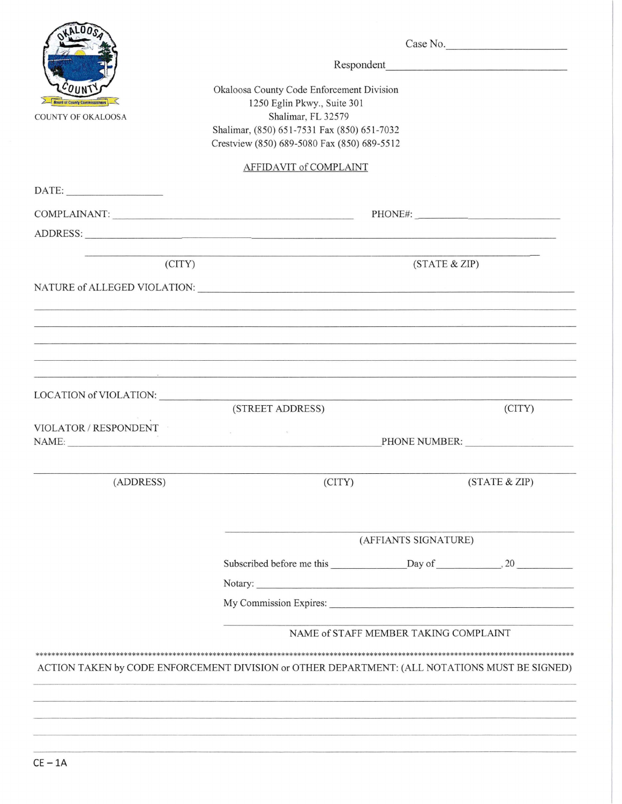|                                                                                                                                                                                              | Case No.                                                                                                                                                                                                                                                                             |
|----------------------------------------------------------------------------------------------------------------------------------------------------------------------------------------------|--------------------------------------------------------------------------------------------------------------------------------------------------------------------------------------------------------------------------------------------------------------------------------------|
|                                                                                                                                                                                              |                                                                                                                                                                                                                                                                                      |
| Okaloosa County Code Enforcement Division<br>1250 Eglin Pkwy., Suite 301<br>Shalimar, FL 32579<br>Shalimar, (850) 651-7531 Fax (850) 651-7032<br>Crestview (850) 689-5080 Fax (850) 689-5512 | Respondent                                                                                                                                                                                                                                                                           |
| AFFIDAVIT of COMPLAINT                                                                                                                                                                       |                                                                                                                                                                                                                                                                                      |
|                                                                                                                                                                                              |                                                                                                                                                                                                                                                                                      |
|                                                                                                                                                                                              | PHONE#:                                                                                                                                                                                                                                                                              |
| ADDRESS:                                                                                                                                                                                     |                                                                                                                                                                                                                                                                                      |
|                                                                                                                                                                                              | (STATE & ZIP)                                                                                                                                                                                                                                                                        |
|                                                                                                                                                                                              |                                                                                                                                                                                                                                                                                      |
|                                                                                                                                                                                              |                                                                                                                                                                                                                                                                                      |
|                                                                                                                                                                                              |                                                                                                                                                                                                                                                                                      |
|                                                                                                                                                                                              |                                                                                                                                                                                                                                                                                      |
|                                                                                                                                                                                              |                                                                                                                                                                                                                                                                                      |
|                                                                                                                                                                                              | (CITY)                                                                                                                                                                                                                                                                               |
| the contract of the contract of the contract of the contract of the                                                                                                                          | PHONE NUMBER:                                                                                                                                                                                                                                                                        |
| (CITY)                                                                                                                                                                                       | (STATE & ZIP)                                                                                                                                                                                                                                                                        |
| (AFFIANTS SIGNATURE)                                                                                                                                                                         |                                                                                                                                                                                                                                                                                      |
|                                                                                                                                                                                              |                                                                                                                                                                                                                                                                                      |
|                                                                                                                                                                                              |                                                                                                                                                                                                                                                                                      |
|                                                                                                                                                                                              |                                                                                                                                                                                                                                                                                      |
| NAME of STAFF MEMBER TAKING COMPLAINT                                                                                                                                                        |                                                                                                                                                                                                                                                                                      |
| ACTION TAKEN by CODE ENFORCEMENT DIVISION or OTHER DEPARTMENT: (ALL NOTATIONS MUST BE SIGNED)                                                                                                |                                                                                                                                                                                                                                                                                      |
|                                                                                                                                                                                              |                                                                                                                                                                                                                                                                                      |
|                                                                                                                                                                                              |                                                                                                                                                                                                                                                                                      |
|                                                                                                                                                                                              | COMPLAINANT: University of the complex of the complex of the complex of the complex of the complex of the complex of the complex of the complex of the complex of the complex of the complex of the complex of the complex of<br>LOCATION of VIOLATION:<br>(STREET ADDRESS)<br>NAME: |